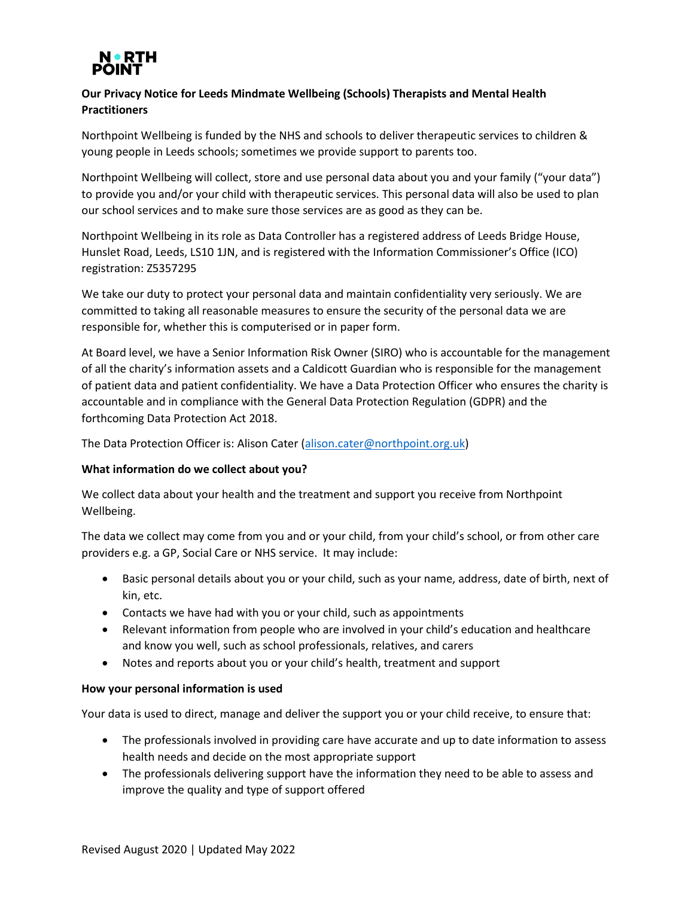

# **Our Privacy Notice for Leeds Mindmate Wellbeing (Schools) Therapists and Mental Health Practitioners**

Northpoint Wellbeing is funded by the NHS and schools to deliver therapeutic services to children & young people in Leeds schools; sometimes we provide support to parents too.

Northpoint Wellbeing will collect, store and use personal data about you and your family ("your data") to provide you and/or your child with therapeutic services. This personal data will also be used to plan our school services and to make sure those services are as good as they can be.

Northpoint Wellbeing in its role as Data Controller has a registered address of Leeds Bridge House, Hunslet Road, Leeds, LS10 1JN, and is registered with the Information Commissioner's Office (ICO) registration: Z5357295

We take our duty to protect your personal data and maintain confidentiality very seriously. We are committed to taking all reasonable measures to ensure the security of the personal data we are responsible for, whether this is computerised or in paper form.

At Board level, we have a Senior Information Risk Owner (SIRO) who is accountable for the management of all the charity's information assets and a Caldicott Guardian who is responsible for the management of patient data and patient confidentiality. We have a Data Protection Officer who ensures the charity is accountable and in compliance with the General Data Protection Regulation (GDPR) and the forthcoming Data Protection Act 2018.

The Data Protection Officer is: Alison Cater [\(alison.cater@northpoint.org.uk\)](mailto:alison.cater@northpoint.org.uk)

# **What information do we collect about you?**

We collect data about your health and the treatment and support you receive from Northpoint Wellbeing.

The data we collect may come from you and or your child, from your child's school, or from other care providers e.g. a GP, Social Care or NHS service. It may include:

- Basic personal details about you or your child, such as your name, address, date of birth, next of kin, etc.
- Contacts we have had with you or your child, such as appointments
- Relevant information from people who are involved in your child's education and healthcare and know you well, such as school professionals, relatives, and carers
- Notes and reports about you or your child's health, treatment and support

## **How your personal information is used**

Your data is used to direct, manage and deliver the support you or your child receive, to ensure that:

- The professionals involved in providing care have accurate and up to date information to assess health needs and decide on the most appropriate support
- The professionals delivering support have the information they need to be able to assess and improve the quality and type of support offered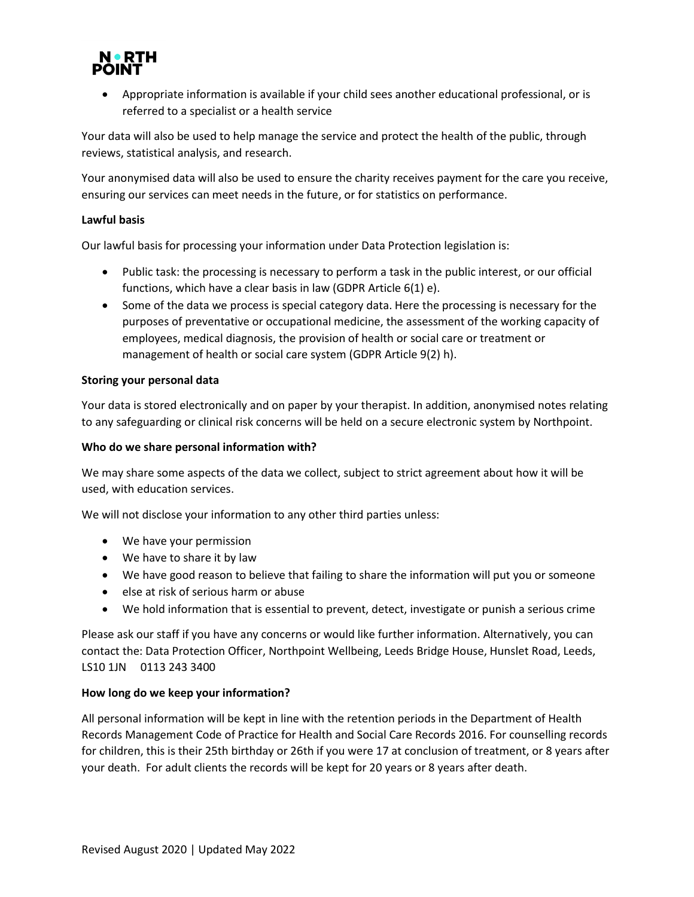

• Appropriate information is available if your child sees another educational professional, or is referred to a specialist or a health service

Your data will also be used to help manage the service and protect the health of the public, through reviews, statistical analysis, and research.

Your anonymised data will also be used to ensure the charity receives payment for the care you receive, ensuring our services can meet needs in the future, or for statistics on performance.

### **Lawful basis**

Our lawful basis for processing your information under Data Protection legislation is:

- Public task: the processing is necessary to perform a task in the public interest, or our official functions, which have a clear basis in law (GDPR Article 6(1) e).
- Some of the data we process is special category data. Here the processing is necessary for the purposes of preventative or occupational medicine, the assessment of the working capacity of employees, medical diagnosis, the provision of health or social care or treatment or management of health or social care system (GDPR Article 9(2) h).

#### **Storing your personal data**

Your data is stored electronically and on paper by your therapist. In addition, anonymised notes relating to any safeguarding or clinical risk concerns will be held on a secure electronic system by Northpoint.

### **Who do we share personal information with?**

We may share some aspects of the data we collect, subject to strict agreement about how it will be used, with education services.

We will not disclose your information to any other third parties unless:

- We have your permission
- We have to share it by law
- We have good reason to believe that failing to share the information will put you or someone
- else at risk of serious harm or abuse
- We hold information that is essential to prevent, detect, investigate or punish a serious crime

Please ask our staff if you have any concerns or would like further information. Alternatively, you can contact the: Data Protection Officer, Northpoint Wellbeing, Leeds Bridge House, Hunslet Road, Leeds, LS10 1JN 0113 243 3400

#### **How long do we keep your information?**

All personal information will be kept in line with the retention periods in the Department of Health Records Management Code of Practice for Health and Social Care Records 2016. For counselling records for children, this is their 25th birthday or 26th if you were 17 at conclusion of treatment, or 8 years after your death. For adult clients the records will be kept for 20 years or 8 years after death.